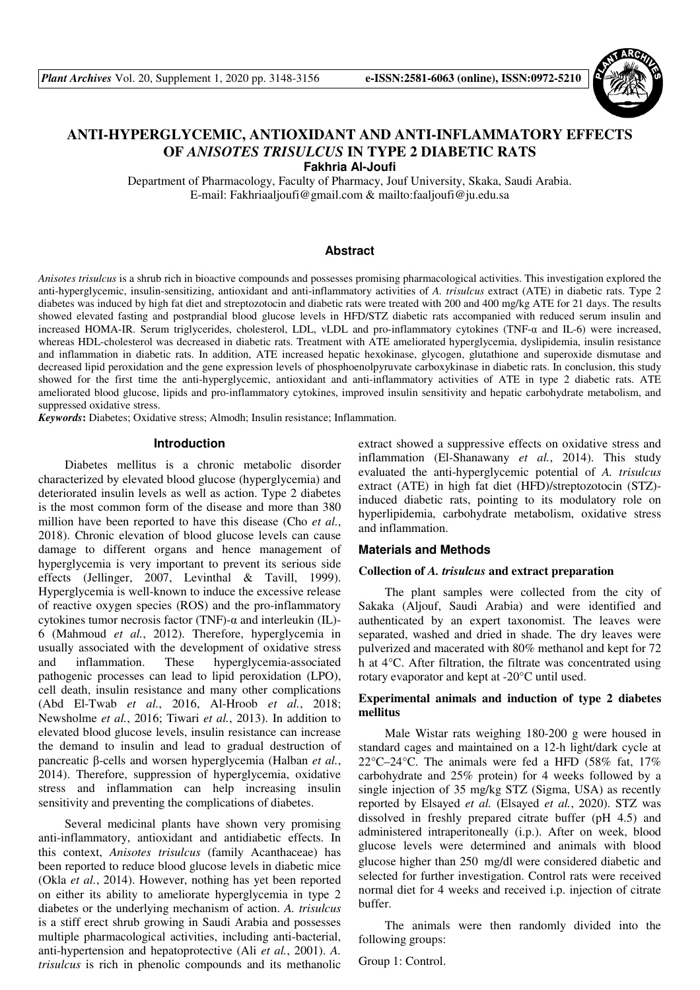

# **ANTI-HYPERGLYCEMIC, ANTIOXIDANT AND ANTI-INFLAMMATORY EFFECTS OF** *ANISOTES TRISULCUS* **IN TYPE 2 DIABETIC RATS**

**Fakhria Al-Joufi** 

Department of Pharmacology, Faculty of Pharmacy, Jouf University, Skaka, Saudi Arabia. E-mail: Fakhriaaljoufi@gmail.com & mailto:faaljoufi@ju.edu.sa

# **Abstract**

*Anisotes trisulcus* is a shrub rich in bioactive compounds and possesses promising pharmacological activities. This investigation explored the anti-hyperglycemic, insulin-sensitizing, antioxidant and anti-inflammatory activities of *A. trisulcus* extract (ATE) in diabetic rats. Type 2 diabetes was induced by high fat diet and streptozotocin and diabetic rats were treated with 200 and 400 mg/kg ATE for 21 days. The results showed elevated fasting and postprandial blood glucose levels in HFD/STZ diabetic rats accompanied with reduced serum insulin and increased HOMA-IR. Serum triglycerides, cholesterol, LDL, vLDL and pro-inflammatory cytokines (TNF-α and IL-6) were increased, whereas HDL-cholesterol was decreased in diabetic rats. Treatment with ATE ameliorated hyperglycemia, dyslipidemia, insulin resistance and inflammation in diabetic rats. In addition, ATE increased hepatic hexokinase, glycogen, glutathione and superoxide dismutase and decreased lipid peroxidation and the gene expression levels of phosphoenolpyruvate carboxykinase in diabetic rats. In conclusion, this study showed for the first time the anti-hyperglycemic, antioxidant and anti-inflammatory activities of ATE in type 2 diabetic rats. ATE ameliorated blood glucose, lipids and pro-inflammatory cytokines, improved insulin sensitivity and hepatic carbohydrate metabolism, and suppressed oxidative stress.

*Keywords***:** Diabetes; Oxidative stress; Almodh; Insulin resistance; Inflammation.

# **Introduction**

Diabetes mellitus is a chronic metabolic disorder characterized by elevated blood glucose (hyperglycemia) and deteriorated insulin levels as well as action. Type 2 diabetes is the most common form of the disease and more than 380 million have been reported to have this disease (Cho *et al.*, 2018). Chronic elevation of blood glucose levels can cause damage to different organs and hence management of hyperglycemia is very important to prevent its serious side effects (Jellinger, 2007, Levinthal & Tavill, 1999). Hyperglycemia is well-known to induce the excessive release of reactive oxygen species (ROS) and the pro-inflammatory cytokines tumor necrosis factor (TNF)-α and interleukin (IL)- 6 (Mahmoud *et al.*, 2012). Therefore, hyperglycemia in usually associated with the development of oxidative stress and inflammation. These hyperglycemia-associated pathogenic processes can lead to lipid peroxidation (LPO), cell death, insulin resistance and many other complications (Abd El-Twab *et al.*, 2016, Al-Hroob *et al.*, 2018; Newsholme *et al.*, 2016; Tiwari *et al.*, 2013). In addition to elevated blood glucose levels, insulin resistance can increase the demand to insulin and lead to gradual destruction of pancreatic β-cells and worsen hyperglycemia (Halban *et al.*, 2014). Therefore, suppression of hyperglycemia, oxidative stress and inflammation can help increasing insulin sensitivity and preventing the complications of diabetes.

Several medicinal plants have shown very promising anti-inflammatory, antioxidant and antidiabetic effects. In this context, *Anisotes trisulcus* (family Acanthaceae) has been reported to reduce blood glucose levels in diabetic mice (Okla *et al.*, 2014). However, nothing has yet been reported on either its ability to ameliorate hyperglycemia in type 2 diabetes or the underlying mechanism of action. *A. trisulcus* is a stiff erect shrub growing in Saudi Arabia and possesses multiple pharmacological activities, including anti-bacterial, anti-hypertension and hepatoprotective (Ali *et al.*, 2001). *A. trisulcus* is rich in phenolic compounds and its methanolic

extract showed a suppressive effects on oxidative stress and inflammation (El-Shanawany *et al.*, 2014). This study evaluated the anti-hyperglycemic potential of *A. trisulcus* extract (ATE) in high fat diet (HFD)/streptozotocin (STZ) induced diabetic rats, pointing to its modulatory role on hyperlipidemia, carbohydrate metabolism, oxidative stress and inflammation.

#### **Materials and Methods**

# **Collection of** *A. trisulcus* **and extract preparation**

The plant samples were collected from the city of Sakaka (Aljouf, Saudi Arabia) and were identified and authenticated by an expert taxonomist. The leaves were separated, washed and dried in shade. The dry leaves were pulverized and macerated with 80% methanol and kept for 72 h at 4°C. After filtration, the filtrate was concentrated using rotary evaporator and kept at -20°C until used.

# **Experimental animals and induction of type 2 diabetes mellitus**

Male Wistar rats weighing 180-200 g were housed in standard cages and maintained on a 12-h light/dark cycle at 22 $\degree$ C–24 $\degree$ C. The animals were fed a HFD (58% fat, 17%) carbohydrate and 25% protein) for 4 weeks followed by a single injection of 35 mg/kg STZ (Sigma, USA) as recently reported by Elsayed *et al.* (Elsayed *et al.*, 2020). STZ was dissolved in freshly prepared citrate buffer (pH 4.5) and administered intraperitoneally (i.p.). After on week, blood glucose levels were determined and animals with blood glucose higher than 250 mg/dl were considered diabetic and selected for further investigation. Control rats were received normal diet for 4 weeks and received i.p. injection of citrate buffer.

The animals were then randomly divided into the following groups:

Group 1: Control.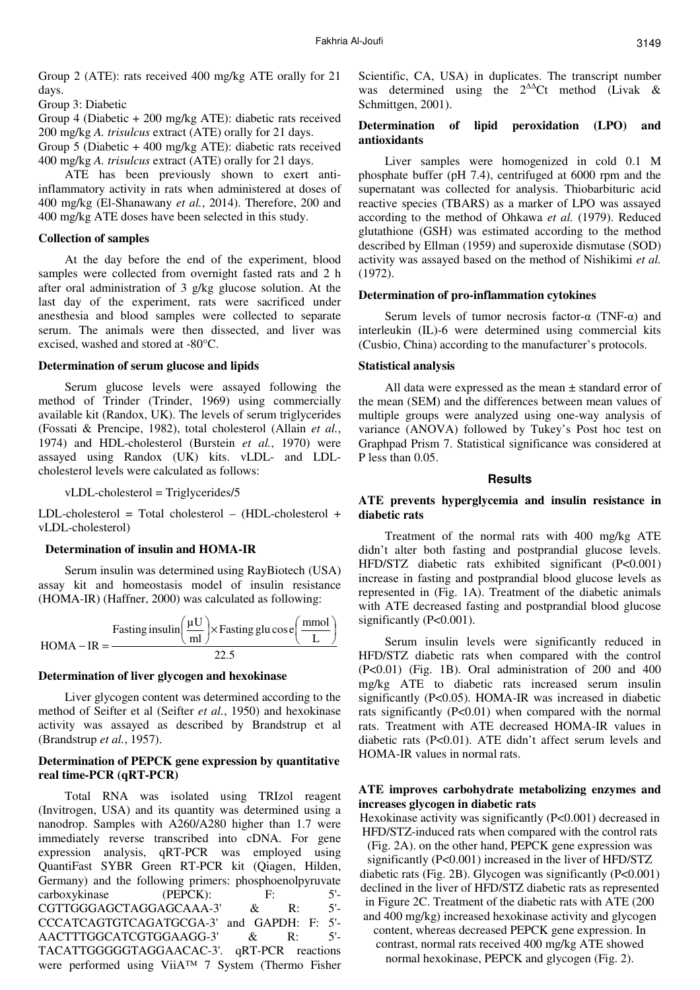Group 2 (ATE): rats received 400 mg/kg ATE orally for 21 days.

Group 3: Diabetic

Group 4 (Diabetic + 200 mg/kg ATE): diabetic rats received 200 mg/kg *A. trisulcus* extract (ATE) orally for 21 days.

Group 5 (Diabetic + 400 mg/kg ATE): diabetic rats received 400 mg/kg *A. trisulcus* extract (ATE) orally for 21 days.

ATE has been previously shown to exert antiinflammatory activity in rats when administered at doses of 400 mg/kg (El-Shanawany *et al.*, 2014). Therefore, 200 and 400 mg/kg ATE doses have been selected in this study.

# **Collection of samples**

At the day before the end of the experiment, blood samples were collected from overnight fasted rats and 2 h after oral administration of 3 g/kg glucose solution. At the last day of the experiment, rats were sacrificed under anesthesia and blood samples were collected to separate serum. The animals were then dissected, and liver was excised, washed and stored at -80°C.

# **Determination of serum glucose and lipids**

Serum glucose levels were assayed following the method of Trinder (Trinder, 1969) using commercially available kit (Randox, UK). The levels of serum triglycerides (Fossati & Prencipe, 1982), total cholesterol (Allain *et al.*, 1974) and HDL-cholesterol (Burstein *et al.*, 1970) were assayed using Randox (UK) kits. vLDL- and LDLcholesterol levels were calculated as follows:

vLDL-cholesterol = Triglycerides/5

LDL-cholesterol = Total cholesterol – (HDL-cholesterol + vLDL-cholesterol)

#### **Determination of insulin and HOMA-IR**

Serum insulin was determined using RayBiotech (USA) assay kit and homeostasis model of insulin resistance (HOMA-IR) (Haffner, 2000) was calculated as following:



#### **Determination of liver glycogen and hexokinase**

Liver glycogen content was determined according to the method of Seifter et al (Seifter *et al.*, 1950) and hexokinase activity was assayed as described by Brandstrup et al (Brandstrup *et al.*, 1957).

# **Determination of PEPCK gene expression by quantitative real time-PCR (qRT-PCR)**

Total RNA was isolated using TRIzol reagent (Invitrogen, USA) and its quantity was determined using a nanodrop. Samples with A260/A280 higher than 1.7 were immediately reverse transcribed into cDNA. For gene expression analysis, qRT-PCR was employed using QuantiFast SYBR Green RT-PCR kit (Qiagen, Hilden, Germany) and the following primers: phosphoenolpyruvate carboxykinase (PEPCK): F: 5'-<br>CGTTGGGAGCTAGGAGCAAA-3' & R: 5'-CGTTGGGAGCTAGGAGCAAA-3' & R: CCCATCAGTGTCAGATGCGA-3' and GAPDH: F: 5'-<br>AACTTTGGCATCGTGGAAGG-3' & R: 5'-AACTTTGGCATCGTGGAAGG-3' & R: TACATTGGGGGTAGGAACAC-3'. qRT-PCR reactions were performed using ViiA™ 7 System (Thermo Fisher Scientific, CA, USA) in duplicates. The transcript number was determined using the 2∆∆Ct method (Livak & Schmittgen, 2001).

# **Determination of lipid peroxidation (LPO) and antioxidants**

Liver samples were homogenized in cold 0.1 M phosphate buffer (pH 7.4), centrifuged at 6000 rpm and the supernatant was collected for analysis. Thiobarbituric acid reactive species (TBARS) as a marker of LPO was assayed according to the method of Ohkawa *et al.* (1979). Reduced glutathione (GSH) was estimated according to the method described by Ellman (1959) and superoxide dismutase (SOD) activity was assayed based on the method of Nishikimi *et al.* (1972).

#### **Determination of pro-inflammation cytokines**

Serum levels of tumor necrosis factor- $α$  (TNF- $α$ ) and interleukin (IL)-6 were determined using commercial kits (Cusbio, China) according to the manufacturer's protocols.

## **Statistical analysis**

All data were expressed as the mean  $\pm$  standard error of the mean (SEM) and the differences between mean values of multiple groups were analyzed using one-way analysis of variance (ANOVA) followed by Tukey's Post hoc test on Graphpad Prism 7. Statistical significance was considered at P less than 0.05.

#### **Results**

# **ATE prevents hyperglycemia and insulin resistance in diabetic rats**

Treatment of the normal rats with 400 mg/kg ATE didn't alter both fasting and postprandial glucose levels. HFD/STZ diabetic rats exhibited significant (P<0.001) increase in fasting and postprandial blood glucose levels as represented in (Fig. 1A). Treatment of the diabetic animals with ATE decreased fasting and postprandial blood glucose significantly (P<0.001).

Serum insulin levels were significantly reduced in HFD/STZ diabetic rats when compared with the control (P<0.01) (Fig. 1B). Oral administration of 200 and 400 mg/kg ATE to diabetic rats increased serum insulin significantly (P<0.05). HOMA-IR was increased in diabetic rats significantly (P<0.01) when compared with the normal rats. Treatment with ATE decreased HOMA-IR values in diabetic rats (P<0.01). ATE didn't affect serum levels and HOMA-IR values in normal rats.

# **ATE improves carbohydrate metabolizing enzymes and increases glycogen in diabetic rats**

Hexokinase activity was significantly (P<0.001) decreased in HFD/STZ-induced rats when compared with the control rats (Fig. 2A). on the other hand, PEPCK gene expression was significantly (P<0.001) increased in the liver of HFD/STZ diabetic rats (Fig. 2B). Glycogen was significantly (P<0.001) declined in the liver of HFD/STZ diabetic rats as represented in Figure 2C. Treatment of the diabetic rats with ATE (200

and 400 mg/kg) increased hexokinase activity and glycogen content, whereas decreased PEPCK gene expression. In contrast, normal rats received 400 mg/kg ATE showed normal hexokinase, PEPCK and glycogen (Fig. 2).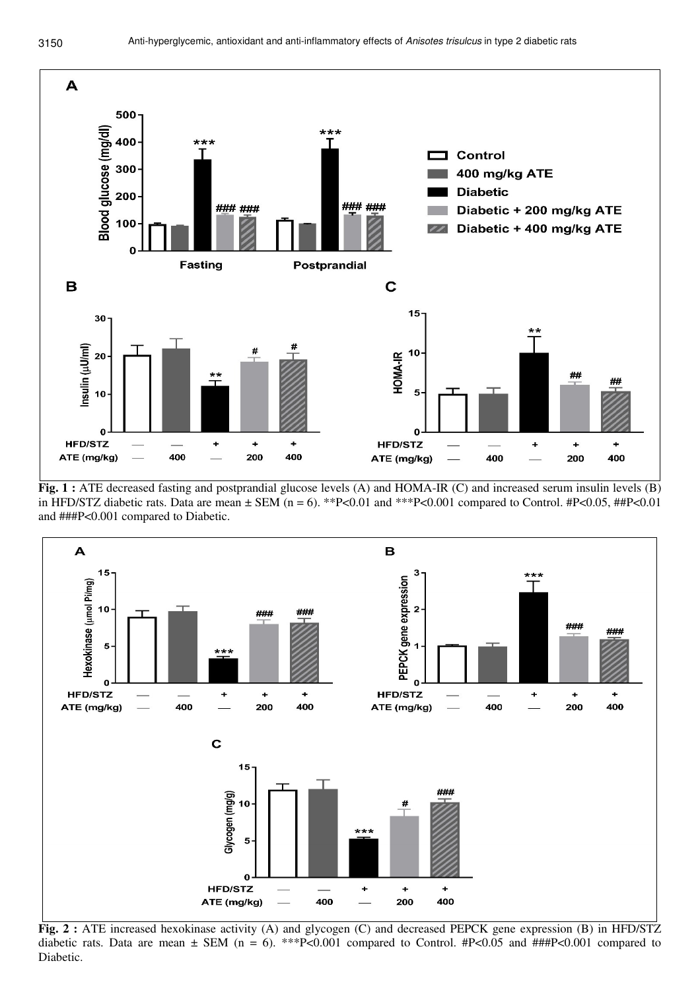

**Fig. 1 :** ATE decreased fasting and postprandial glucose levels (A) and HOMA-IR (C) and increased serum insulin levels (B) in HFD/STZ diabetic rats. Data are mean  $\pm$  SEM (n = 6). \*\*P<0.01 and \*\*\*P<0.001 compared to Control. #P<0.05, ##P<0.01 and ###P<0.001 compared to Diabetic.



**Fig. 2 :** ATE increased hexokinase activity (A) and glycogen (C) and decreased PEPCK gene expression (B) in HFD/STZ diabetic rats. Data are mean  $\pm$  SEM (n = 6). \*\*\*P<0.001 compared to Control. #P<0.05 and ###P<0.001 compared to Diabetic.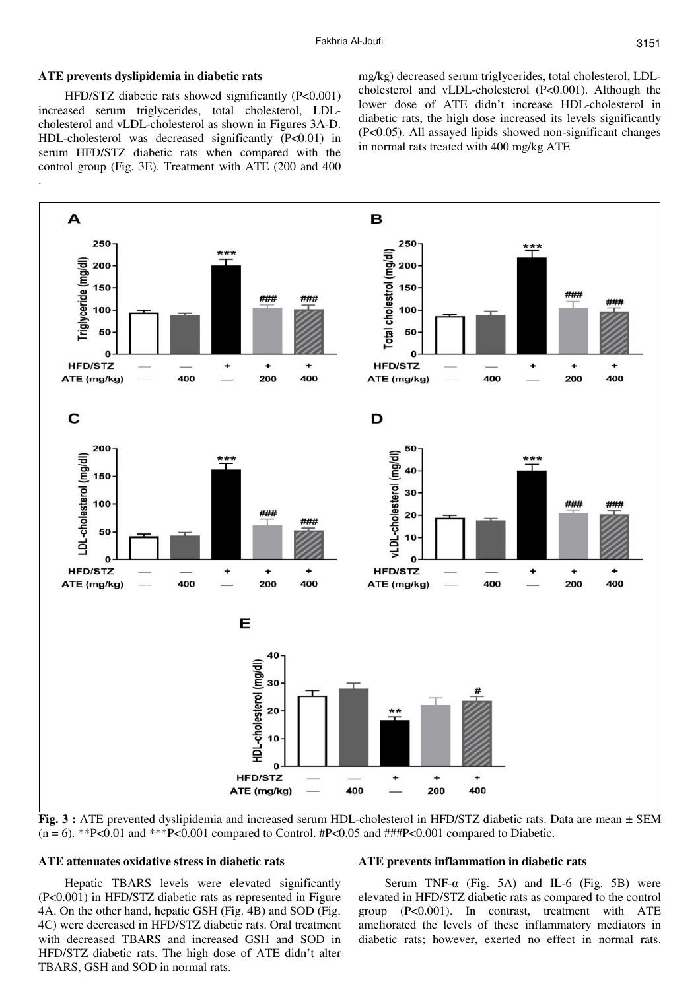# **ATE prevents dyslipidemia in diabetic rats**

.

HFD/STZ diabetic rats showed significantly (P<0.001) increased serum triglycerides, total cholesterol, LDLcholesterol and vLDL-cholesterol as shown in Figures 3A-D. HDL-cholesterol was decreased significantly (P<0.01) in serum HFD/STZ diabetic rats when compared with the control group (Fig. 3E). Treatment with ATE (200 and 400 mg/kg) decreased serum triglycerides, total cholesterol, LDLcholesterol and vLDL-cholesterol (P<0.001). Although the lower dose of ATE didn't increase HDL-cholesterol in diabetic rats, the high dose increased its levels significantly (P<0.05). All assayed lipids showed non-significant changes in normal rats treated with 400 mg/kg ATE



**Fig. 3 :** ATE prevented dyslipidemia and increased serum HDL-cholesterol in HFD/STZ diabetic rats. Data are mean ± SEM  $(n = 6)$ . \*\*P<0.01 and \*\*\*P<0.001 compared to Control. #P<0.05 and ###P<0.001 compared to Diabetic.

# **ATE attenuates oxidative stress in diabetic rats**

Hepatic TBARS levels were elevated significantly (P<0.001) in HFD/STZ diabetic rats as represented in Figure 4A. On the other hand, hepatic GSH (Fig. 4B) and SOD (Fig. 4C) were decreased in HFD/STZ diabetic rats. Oral treatment with decreased TBARS and increased GSH and SOD in HFD/STZ diabetic rats. The high dose of ATE didn't alter TBARS, GSH and SOD in normal rats.

#### **ATE prevents inflammation in diabetic rats**

Serum TNF- $\alpha$  (Fig. 5A) and IL-6 (Fig. 5B) were elevated in HFD/STZ diabetic rats as compared to the control group (P<0.001). In contrast, treatment with ATE ameliorated the levels of these inflammatory mediators in diabetic rats; however, exerted no effect in normal rats.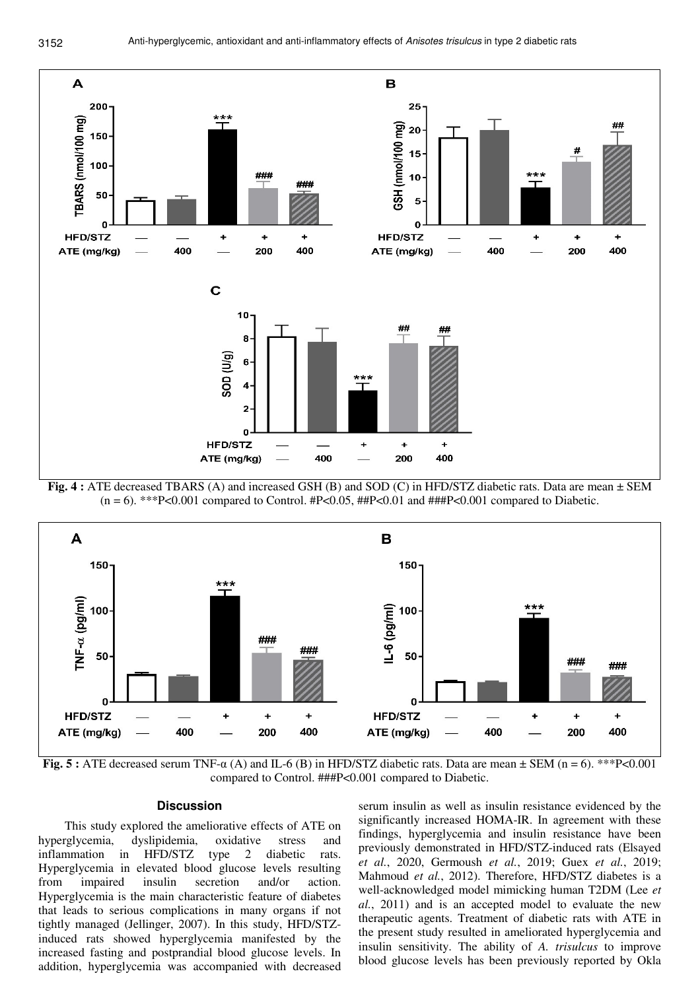

**Fig. 4 :** ATE decreased TBARS (A) and increased GSH (B) and SOD (C) in HFD/STZ diabetic rats. Data are mean ± SEM  $(n = 6)$ . \*\*\*P<0.001 compared to Control. #P<0.05, ##P<0.01 and ###P<0.001 compared to Diabetic.



**Fig. 5 :** ATE decreased serum TNF-α (A) and IL-6 (B) in HFD/STZ diabetic rats. Data are mean ± SEM (n = 6). \*\*\*P<0.001 compared to Control. ###P<0.001 compared to Diabetic.

# **Discussion**

This study explored the ameliorative effects of ATE on hyperglycemia, dyslipidemia, oxidative stress and inflammation in HFD/STZ type 2 diabetic rats. Hyperglycemia in elevated blood glucose levels resulting from impaired insulin secretion and/or action. Hyperglycemia is the main characteristic feature of diabetes that leads to serious complications in many organs if not tightly managed (Jellinger, 2007). In this study, HFD/STZinduced rats showed hyperglycemia manifested by the increased fasting and postprandial blood glucose levels. In addition, hyperglycemia was accompanied with decreased

serum insulin as well as insulin resistance evidenced by the significantly increased HOMA-IR. In agreement with these findings, hyperglycemia and insulin resistance have been previously demonstrated in HFD/STZ-induced rats (Elsayed *et al.*, 2020, Germoush *et al.*, 2019; Guex *et al.*, 2019; Mahmoud *et al.*, 2012). Therefore, HFD/STZ diabetes is a well-acknowledged model mimicking human T2DM (Lee *et al.*, 2011) and is an accepted model to evaluate the new therapeutic agents. Treatment of diabetic rats with ATE in the present study resulted in ameliorated hyperglycemia and insulin sensitivity. The ability of *A. trisulcus* to improve blood glucose levels has been previously reported by Okla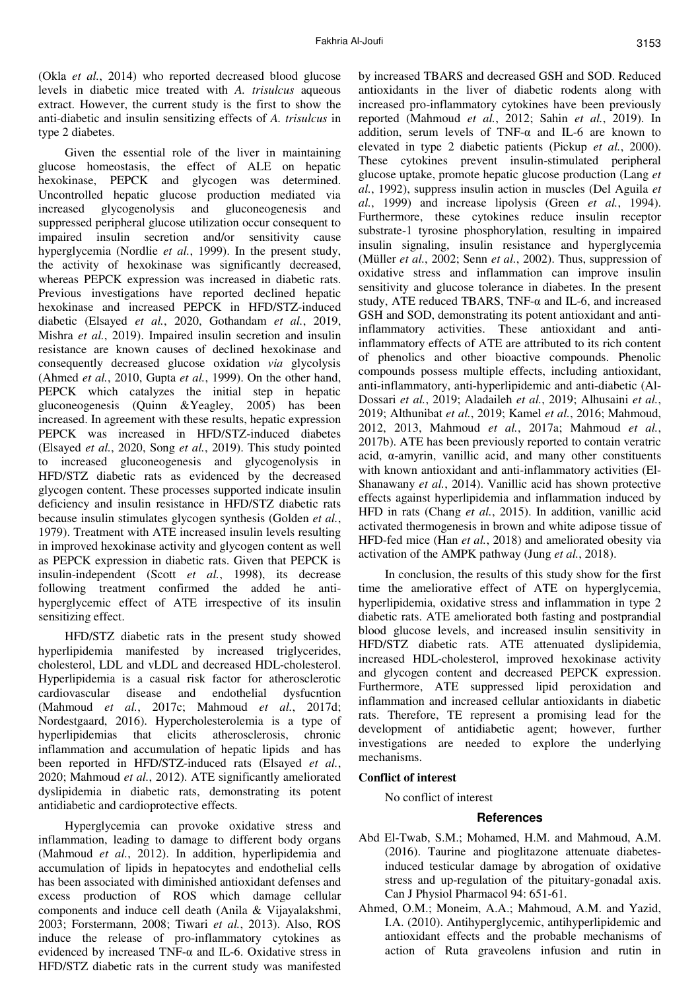(Okla *et al.*, 2014) who reported decreased blood glucose levels in diabetic mice treated with *A. trisulcus* aqueous extract. However, the current study is the first to show the anti-diabetic and insulin sensitizing effects of *A. trisulcus* in type 2 diabetes.

Given the essential role of the liver in maintaining glucose homeostasis, the effect of ALE on hepatic hexokinase, PEPCK and glycogen was determined. Uncontrolled hepatic glucose production mediated via increased glycogenolysis and gluconeogenesis and suppressed peripheral glucose utilization occur consequent to impaired insulin secretion and/or sensitivity cause hyperglycemia (Nordlie *et al.*, 1999). In the present study, the activity of hexokinase was significantly decreased, whereas PEPCK expression was increased in diabetic rats. Previous investigations have reported declined hepatic hexokinase and increased PEPCK in HFD/STZ-induced diabetic (Elsayed *et al.*, 2020, Gothandam *et al.*, 2019, Mishra *et al.*, 2019). Impaired insulin secretion and insulin resistance are known causes of declined hexokinase and consequently decreased glucose oxidation *via* glycolysis (Ahmed *et al.*, 2010, Gupta *et al.*, 1999). On the other hand, PEPCK which catalyzes the initial step in hepatic gluconeogenesis (Quinn &Yeagley, 2005) has been increased. In agreement with these results, hepatic expression PEPCK was increased in HFD/STZ-induced diabetes (Elsayed *et al.*, 2020, Song *et al.*, 2019). This study pointed to increased gluconeogenesis and glycogenolysis in HFD/STZ diabetic rats as evidenced by the decreased glycogen content. These processes supported indicate insulin deficiency and insulin resistance in HFD/STZ diabetic rats because insulin stimulates glycogen synthesis (Golden *et al.*, 1979). Treatment with ATE increased insulin levels resulting in improved hexokinase activity and glycogen content as well as PEPCK expression in diabetic rats. Given that PEPCK is insulin-independent (Scott *et al.*, 1998), its decrease following treatment confirmed the added he antihyperglycemic effect of ATE irrespective of its insulin sensitizing effect.

HFD/STZ diabetic rats in the present study showed hyperlipidemia manifested by increased triglycerides, cholesterol, LDL and vLDL and decreased HDL-cholesterol. Hyperlipidemia is a casual risk factor for atherosclerotic cardiovascular disease and endothelial dysfucntion (Mahmoud *et al.*, 2017c; Mahmoud *et al.*, 2017d; Nordestgaard, 2016). Hypercholesterolemia is a type of hyperlipidemias that elicits atherosclerosis, chronic inflammation and accumulation of hepatic lipids and has been reported in HFD/STZ-induced rats (Elsayed *et al.*, 2020; Mahmoud *et al.*, 2012). ATE significantly ameliorated dyslipidemia in diabetic rats, demonstrating its potent antidiabetic and cardioprotective effects.

Hyperglycemia can provoke oxidative stress and inflammation, leading to damage to different body organs (Mahmoud *et al.*, 2012). In addition, hyperlipidemia and accumulation of lipids in hepatocytes and endothelial cells has been associated with diminished antioxidant defenses and excess production of ROS which damage cellular components and induce cell death (Anila & Vijayalakshmi, 2003; Forstermann, 2008; Tiwari *et al.*, 2013). Also, ROS induce the release of pro-inflammatory cytokines as evidenced by increased TNF- $\alpha$  and IL-6. Oxidative stress in HFD/STZ diabetic rats in the current study was manifested

by increased TBARS and decreased GSH and SOD. Reduced antioxidants in the liver of diabetic rodents along with increased pro-inflammatory cytokines have been previously reported (Mahmoud *et al.*, 2012; Sahin *et al.*, 2019). In addition, serum levels of TNF-α and IL-6 are known to elevated in type 2 diabetic patients (Pickup *et al.*, 2000). These cytokines prevent insulin-stimulated peripheral glucose uptake, promote hepatic glucose production (Lang *et al.*, 1992), suppress insulin action in muscles (Del Aguila *et al.*, 1999) and increase lipolysis (Green *et al.*, 1994). Furthermore, these cytokines reduce insulin receptor substrate-1 tyrosine phosphorylation, resulting in impaired insulin signaling, insulin resistance and hyperglycemia (Müller *et al.*, 2002; Senn *et al.*, 2002). Thus, suppression of oxidative stress and inflammation can improve insulin sensitivity and glucose tolerance in diabetes. In the present study, ATE reduced TBARS, TNF-α and IL-6, and increased GSH and SOD, demonstrating its potent antioxidant and antiinflammatory activities. These antioxidant and antiinflammatory effects of ATE are attributed to its rich content of phenolics and other bioactive compounds. Phenolic compounds possess multiple effects, including antioxidant, anti-inflammatory, anti-hyperlipidemic and anti-diabetic (Al-Dossari *et al.*, 2019; Aladaileh *et al.*, 2019; Alhusaini *et al.*, 2019; Althunibat *et al.*, 2019; Kamel *et al.*, 2016; Mahmoud, 2012, 2013, Mahmoud *et al.*, 2017a; Mahmoud *et al.*, 2017b). ATE has been previously reported to contain veratric acid, α-amyrin, vanillic acid, and many other constituents with known antioxidant and anti-inflammatory activities (El-Shanawany *et al.*, 2014). Vanillic acid has shown protective effects against hyperlipidemia and inflammation induced by HFD in rats (Chang *et al.*, 2015). In addition, vanillic acid activated thermogenesis in brown and white adipose tissue of HFD-fed mice (Han *et al.*, 2018) and ameliorated obesity via activation of the AMPK pathway (Jung *et al.*, 2018).

In conclusion, the results of this study show for the first time the ameliorative effect of ATE on hyperglycemia, hyperlipidemia, oxidative stress and inflammation in type 2 diabetic rats. ATE ameliorated both fasting and postprandial blood glucose levels, and increased insulin sensitivity in HFD/STZ diabetic rats. ATE attenuated dyslipidemia, increased HDL-cholesterol, improved hexokinase activity and glycogen content and decreased PEPCK expression. Furthermore, ATE suppressed lipid peroxidation and inflammation and increased cellular antioxidants in diabetic rats. Therefore, TE represent a promising lead for the development of antidiabetic agent; however, further investigations are needed to explore the underlying mechanisms.

## **Conflict of interest**

No conflict of interest

# **References**

- Abd El-Twab, S.M.; Mohamed, H.M. and Mahmoud, A.M. (2016). Taurine and pioglitazone attenuate diabetesinduced testicular damage by abrogation of oxidative stress and up-regulation of the pituitary-gonadal axis. Can J Physiol Pharmacol 94: 651-61.
- Ahmed, O.M.; Moneim, A.A.; Mahmoud, A.M. and Yazid, I.A. (2010). Antihyperglycemic, antihyperlipidemic and antioxidant effects and the probable mechanisms of action of Ruta graveolens infusion and rutin in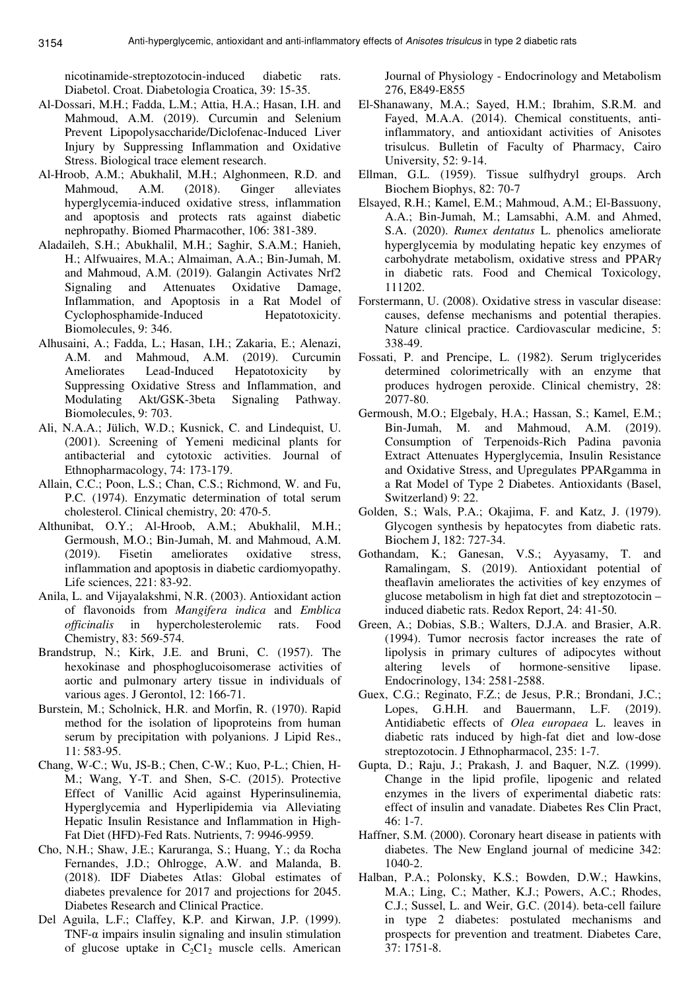nicotinamide-streptozotocin-induced diabetic rats. Diabetol. Croat. Diabetologia Croatica, 39: 15-35.

- Al-Dossari, M.H.; Fadda, L.M.; Attia, H.A.; Hasan, I.H. and Mahmoud, A.M. (2019). Curcumin and Selenium Prevent Lipopolysaccharide/Diclofenac-Induced Liver Injury by Suppressing Inflammation and Oxidative Stress. Biological trace element research.
- Al-Hroob, A.M.; Abukhalil, M.H.; Alghonmeen, R.D. and Mahmoud, A.M. (2018). Ginger alleviates hyperglycemia-induced oxidative stress, inflammation and apoptosis and protects rats against diabetic nephropathy. Biomed Pharmacother, 106: 381-389.
- Aladaileh, S.H.; Abukhalil, M.H.; Saghir, S.A.M.; Hanieh, H.; Alfwuaires, M.A.; Almaiman, A.A.; Bin-Jumah, M. and Mahmoud, A.M. (2019). Galangin Activates Nrf2 Signaling and Attenuates Oxidative Damage, Inflammation, and Apoptosis in a Rat Model of Cyclophosphamide-Induced Hepatotoxicity. Biomolecules, 9: 346.
- Alhusaini, A.; Fadda, L.; Hasan, I.H.; Zakaria, E.; Alenazi, A.M. and Mahmoud, A.M. (2019). Curcumin Ameliorates Lead-Induced Hepatotoxicity by Suppressing Oxidative Stress and Inflammation, and Modulating Akt/GSK-3beta Signaling Pathway. Biomolecules, 9: 703.
- Ali, N.A.A.; Jülich, W.D.; Kusnick, C. and Lindequist, U. (2001). Screening of Yemeni medicinal plants for antibacterial and cytotoxic activities. Journal of Ethnopharmacology, 74: 173-179.
- Allain, C.C.; Poon, L.S.; Chan, C.S.; Richmond, W. and Fu, P.C. (1974). Enzymatic determination of total serum cholesterol. Clinical chemistry, 20: 470-5.
- Althunibat, O.Y.; Al-Hroob, A.M.; Abukhalil, M.H.; Germoush, M.O.; Bin-Jumah, M. and Mahmoud, A.M. (2019). Fisetin ameliorates oxidative stress, inflammation and apoptosis in diabetic cardiomyopathy. Life sciences, 221: 83-92.
- Anila, L. and Vijayalakshmi, N.R. (2003). Antioxidant action of flavonoids from *Mangifera indica* and *Emblica officinalis* in hypercholesterolemic rats. Food Chemistry, 83: 569-574.
- Brandstrup, N.; Kirk, J.E. and Bruni, C. (1957). The hexokinase and phosphoglucoisomerase activities of aortic and pulmonary artery tissue in individuals of various ages. J Gerontol, 12: 166-71.
- Burstein, M.; Scholnick, H.R. and Morfin, R. (1970). Rapid method for the isolation of lipoproteins from human serum by precipitation with polyanions. J Lipid Res., 11: 583-95.
- Chang, W-C.; Wu, JS-B.; Chen, C-W.; Kuo, P-L.; Chien, H-M.; Wang, Y-T. and Shen, S-C. (2015). Protective Effect of Vanillic Acid against Hyperinsulinemia, Hyperglycemia and Hyperlipidemia via Alleviating Hepatic Insulin Resistance and Inflammation in High-Fat Diet (HFD)-Fed Rats. Nutrients, 7: 9946-9959.
- Cho, N.H.; Shaw, J.E.; Karuranga, S.; Huang, Y.; da Rocha Fernandes, J.D.; Ohlrogge, A.W. and Malanda, B. (2018). IDF Diabetes Atlas: Global estimates of diabetes prevalence for 2017 and projections for 2045. Diabetes Research and Clinical Practice.
- Del Aguila, L.F.; Claffey, K.P. and Kirwan, J.P. (1999). TNF- $\alpha$  impairs insulin signaling and insulin stimulation of glucose uptake in  $C_2Cl_2$  muscle cells. American

Journal of Physiology - Endocrinology and Metabolism 276, E849-E855

- El-Shanawany, M.A.; Sayed, H.M.; Ibrahim, S.R.M. and Fayed, M.A.A. (2014). Chemical constituents, antiinflammatory, and antioxidant activities of Anisotes trisulcus. Bulletin of Faculty of Pharmacy, Cairo University, 52: 9-14.
- Ellman, G.L. (1959). Tissue sulfhydryl groups. Arch Biochem Biophys, 82: 70-7
- Elsayed, R.H.; Kamel, E.M.; Mahmoud, A.M.; El-Bassuony, A.A.; Bin-Jumah, M.; Lamsabhi, A.M. and Ahmed, S.A. (2020). *Rumex dentatus* L. phenolics ameliorate hyperglycemia by modulating hepatic key enzymes of carbohydrate metabolism, oxidative stress and PPARγ in diabetic rats. Food and Chemical Toxicology, 111202.
- Forstermann, U. (2008). Oxidative stress in vascular disease: causes, defense mechanisms and potential therapies. Nature clinical practice. Cardiovascular medicine, 5: 338-49.
- Fossati, P. and Prencipe, L. (1982). Serum triglycerides determined colorimetrically with an enzyme that produces hydrogen peroxide. Clinical chemistry, 28: 2077-80.
- Germoush, M.O.; Elgebaly, H.A.; Hassan, S.; Kamel, E.M.; Bin-Jumah, M. and Mahmoud, A.M. (2019). Consumption of Terpenoids-Rich Padina pavonia Extract Attenuates Hyperglycemia, Insulin Resistance and Oxidative Stress, and Upregulates PPARgamma in a Rat Model of Type 2 Diabetes. Antioxidants (Basel, Switzerland) 9: 22.
- Golden, S.; Wals, P.A.; Okajima, F. and Katz, J. (1979). Glycogen synthesis by hepatocytes from diabetic rats. Biochem J, 182: 727-34.
- Gothandam, K.; Ganesan, V.S.; Ayyasamy, T. and Ramalingam, S. (2019). Antioxidant potential of theaflavin ameliorates the activities of key enzymes of glucose metabolism in high fat diet and streptozotocin – induced diabetic rats. Redox Report, 24: 41-50.
- Green, A.; Dobias, S.B.; Walters, D.J.A. and Brasier, A.R. (1994). Tumor necrosis factor increases the rate of lipolysis in primary cultures of adipocytes without altering levels of hormone-sensitive lipase. Endocrinology, 134: 2581-2588.
- Guex, C.G.; Reginato, F.Z.; de Jesus, P.R.; Brondani, J.C.; Lopes, G.H.H. and Bauermann, L.F. (2019). Antidiabetic effects of *Olea europaea* L. leaves in diabetic rats induced by high-fat diet and low-dose streptozotocin. J Ethnopharmacol, 235: 1-7.
- Gupta, D.; Raju, J.; Prakash, J. and Baquer, N.Z. (1999). Change in the lipid profile, lipogenic and related enzymes in the livers of experimental diabetic rats: effect of insulin and vanadate. Diabetes Res Clin Pract, 46: 1-7.
- Haffner, S.M. (2000). Coronary heart disease in patients with diabetes. The New England journal of medicine 342: 1040-2.
- Halban, P.A.; Polonsky, K.S.; Bowden, D.W.; Hawkins, M.A.; Ling, C.; Mather, K.J.; Powers, A.C.; Rhodes, C.J.; Sussel, L. and Weir, G.C. (2014). beta-cell failure in type 2 diabetes: postulated mechanisms and prospects for prevention and treatment. Diabetes Care, 37: 1751-8.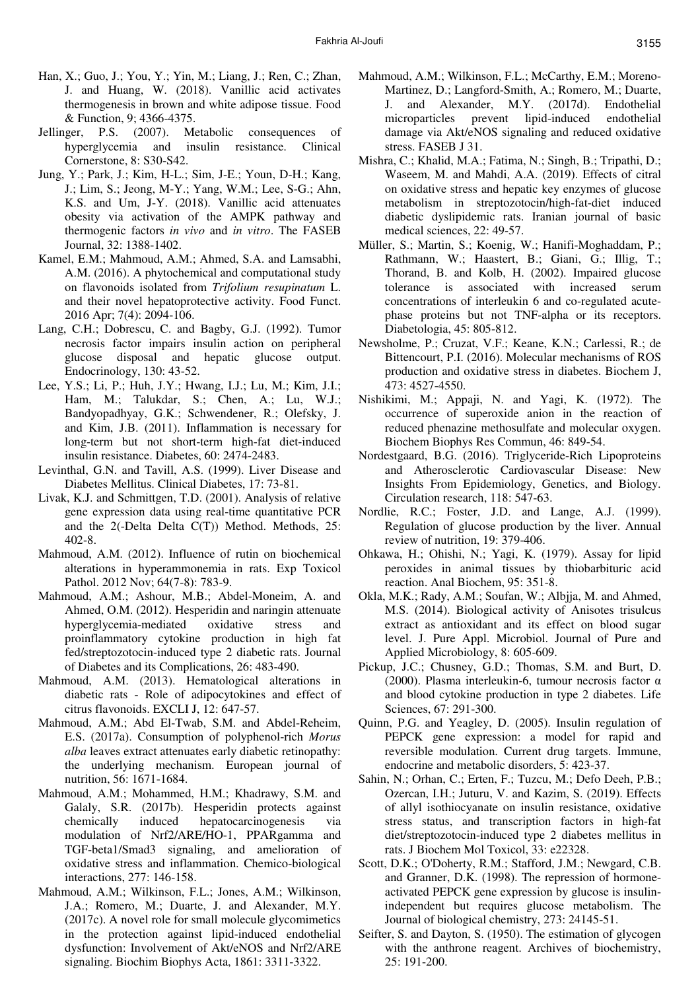- Han, X.; Guo, J.; You, Y.; Yin, M.; Liang, J.; Ren, C.; Zhan, J. and Huang, W. (2018). Vanillic acid activates thermogenesis in brown and white adipose tissue. Food & Function, 9; 4366-4375.
- Jellinger, P.S. (2007). Metabolic consequences of hyperglycemia and insulin resistance. Clinical Cornerstone, 8: S30-S42.
- Jung, Y.; Park, J.; Kim, H-L.; Sim, J-E.; Youn, D-H.; Kang, J.; Lim, S.; Jeong, M-Y.; Yang, W.M.; Lee, S-G.; Ahn, K.S. and Um, J-Y. (2018). Vanillic acid attenuates obesity via activation of the AMPK pathway and thermogenic factors *in vivo* and *in vitro*. The FASEB Journal, 32: 1388-1402.
- Kamel, E.M.; Mahmoud, A.M.; Ahmed, S.A. and Lamsabhi, A.M. (2016). A phytochemical and computational study on flavonoids isolated from *Trifolium resupinatum* L. and their novel hepatoprotective activity. Food Funct. 2016 Apr; 7(4): 2094-106.
- Lang, C.H.; Dobrescu, C. and Bagby, G.J. (1992). Tumor necrosis factor impairs insulin action on peripheral glucose disposal and hepatic glucose output. Endocrinology, 130: 43-52.
- Lee, Y.S.; Li, P.; Huh, J.Y.; Hwang, I.J.; Lu, M.; Kim, J.I.; Ham, M.; Talukdar, S.; Chen, A.; Lu, W.J.; Bandyopadhyay, G.K.; Schwendener, R.; Olefsky, J. and Kim, J.B. (2011). Inflammation is necessary for long-term but not short-term high-fat diet-induced insulin resistance. Diabetes, 60: 2474-2483.
- Levinthal, G.N. and Tavill, A.S. (1999). Liver Disease and Diabetes Mellitus. Clinical Diabetes, 17: 73-81.
- Livak, K.J. and Schmittgen, T.D. (2001). Analysis of relative gene expression data using real-time quantitative PCR and the 2(-Delta Delta C(T)) Method. Methods, 25: 402-8.
- Mahmoud, A.M. (2012). Influence of rutin on biochemical alterations in hyperammonemia in rats. Exp Toxicol Pathol. 2012 Nov; 64(7-8): 783-9.
- Mahmoud, A.M.; Ashour, M.B.; Abdel-Moneim, A. and Ahmed, O.M. (2012). Hesperidin and naringin attenuate hyperglycemia-mediated oxidative stress and proinflammatory cytokine production in high fat fed/streptozotocin-induced type 2 diabetic rats. Journal of Diabetes and its Complications, 26: 483-490.
- Mahmoud, A.M. (2013). Hematological alterations in diabetic rats - Role of adipocytokines and effect of citrus flavonoids. EXCLI J, 12: 647-57.
- Mahmoud, A.M.; Abd El-Twab, S.M. and Abdel-Reheim, E.S. (2017a). Consumption of polyphenol-rich *Morus alba* leaves extract attenuates early diabetic retinopathy: the underlying mechanism. European journal of nutrition, 56: 1671-1684.
- Mahmoud, A.M.; Mohammed, H.M.; Khadrawy, S.M. and Galaly, S.R. (2017b). Hesperidin protects against chemically induced hepatocarcinogenesis via modulation of Nrf2/ARE/HO-1, PPARgamma and TGF-beta1/Smad3 signaling, and amelioration of oxidative stress and inflammation. Chemico-biological interactions, 277: 146-158.
- Mahmoud, A.M.; Wilkinson, F.L.; Jones, A.M.; Wilkinson, J.A.; Romero, M.; Duarte, J. and Alexander, M.Y. (2017c). A novel role for small molecule glycomimetics in the protection against lipid-induced endothelial dysfunction: Involvement of Akt/eNOS and Nrf2/ARE signaling. Biochim Biophys Acta, 1861: 3311-3322.
- Mahmoud, A.M.; Wilkinson, F.L.; McCarthy, E.M.; Moreno-Martinez, D.; Langford-Smith, A.; Romero, M.; Duarte, J. and Alexander, M.Y. (2017d). Endothelial microparticles prevent lipid-induced endothelial damage via Akt/eNOS signaling and reduced oxidative stress. FASEB J 31.
- Mishra, C.; Khalid, M.A.; Fatima, N.; Singh, B.; Tripathi, D.; Waseem, M. and Mahdi, A.A. (2019). Effects of citral on oxidative stress and hepatic key enzymes of glucose metabolism in streptozotocin/high-fat-diet induced diabetic dyslipidemic rats. Iranian journal of basic medical sciences, 22: 49-57.
- Müller, S.; Martin, S.; Koenig, W.; Hanifi-Moghaddam, P.; Rathmann, W.; Haastert, B.; Giani, G.; Illig, T.; Thorand, B. and Kolb, H. (2002). Impaired glucose tolerance is associated with increased serum concentrations of interleukin 6 and co-regulated acutephase proteins but not TNF-alpha or its receptors. Diabetologia, 45: 805-812.
- Newsholme, P.; Cruzat, V.F.; Keane, K.N.; Carlessi, R.; de Bittencourt, P.I. (2016). Molecular mechanisms of ROS production and oxidative stress in diabetes. Biochem J, 473: 4527-4550.
- Nishikimi, M.; Appaji, N. and Yagi, K. (1972). The occurrence of superoxide anion in the reaction of reduced phenazine methosulfate and molecular oxygen. Biochem Biophys Res Commun, 46: 849-54.
- Nordestgaard, B.G. (2016). Triglyceride-Rich Lipoproteins and Atherosclerotic Cardiovascular Disease: New Insights From Epidemiology, Genetics, and Biology. Circulation research, 118: 547-63.
- Nordlie, R.C.; Foster, J.D. and Lange, A.J. (1999). Regulation of glucose production by the liver. Annual review of nutrition, 19: 379-406.
- Ohkawa, H.; Ohishi, N.; Yagi, K. (1979). Assay for lipid peroxides in animal tissues by thiobarbituric acid reaction. Anal Biochem, 95: 351-8.
- Okla, M.K.; Rady, A.M.; Soufan, W.; Albjja, M. and Ahmed, M.S. (2014). Biological activity of Anisotes trisulcus extract as antioxidant and its effect on blood sugar level. J. Pure Appl. Microbiol. Journal of Pure and Applied Microbiology, 8: 605-609.
- Pickup, J.C.; Chusney, G.D.; Thomas, S.M. and Burt, D. (2000). Plasma interleukin-6, tumour necrosis factor α and blood cytokine production in type 2 diabetes. Life Sciences, 67: 291-300.
- Quinn, P.G. and Yeagley, D. (2005). Insulin regulation of PEPCK gene expression: a model for rapid and reversible modulation. Current drug targets. Immune, endocrine and metabolic disorders, 5: 423-37.
- Sahin, N.; Orhan, C.; Erten, F.; Tuzcu, M.; Defo Deeh, P.B.; Ozercan, I.H.; Juturu, V. and Kazim, S. (2019). Effects of allyl isothiocyanate on insulin resistance, oxidative stress status, and transcription factors in high-fat diet/streptozotocin-induced type 2 diabetes mellitus in rats. J Biochem Mol Toxicol, 33: e22328.
- Scott, D.K.; O'Doherty, R.M.; Stafford, J.M.; Newgard, C.B. and Granner, D.K. (1998). The repression of hormoneactivated PEPCK gene expression by glucose is insulinindependent but requires glucose metabolism. The Journal of biological chemistry, 273: 24145-51.
- Seifter, S. and Dayton, S. (1950). The estimation of glycogen with the anthrone reagent. Archives of biochemistry, 25: 191-200.